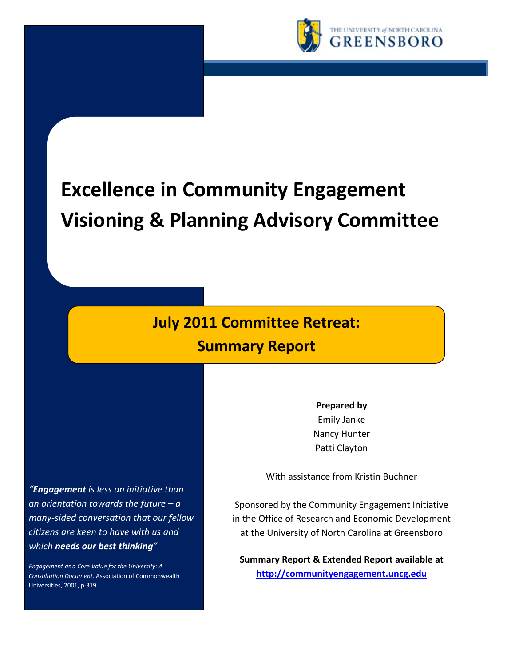

# **Excellence in Community Engagement Visioning & Planning Advisory Committee**

# **July 2011 Committee Retreat: Summary Report**

Emily Janke Nancy Hunter Patti Clayton

**Prepared by**

*"Engagement is less an initiative than an orientation towards the future – a many-sided conversation that our fellow citizens are keen to have with us and which needs our best thinking"*

*Engagement as a Core Value for the University: A Consultation Document.* Association of Commonwealth Universities, 2001, p.319.

With assistance from Kristin Buchner

Sponsored by the Community Engagement Initiative in the Office of Research and Economic Development at the University of North Carolina at Greensboro

**Summary Report & Extended Report available at http://communityengagement.uncg.edu**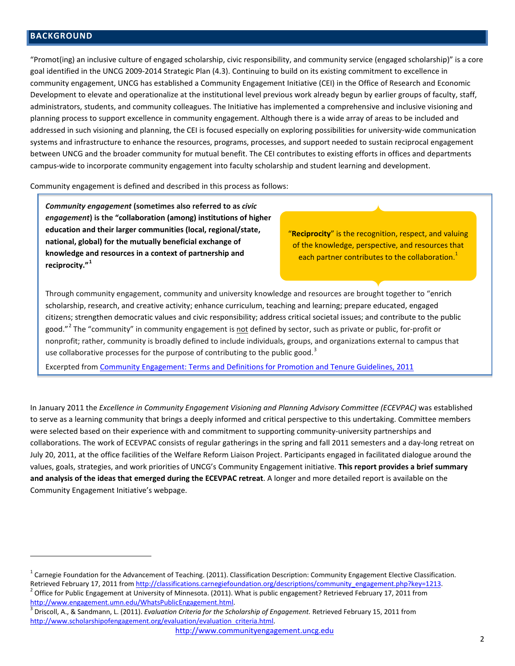## **BACKGROUND**

 $\overline{a}$ 

"Promot(ing) an inclusive culture of engaged scholarship, civic responsibility, and community service (engaged scholarship)" is a core goal identified in the UNCG 2009-2014 Strategic Plan (4.3). Continuing to build on its existing commitment to excellence in community engagement, UNCG has established a Community Engagement Initiative (CEI) in the Office of Research and Economic Development to elevate and operationalize at the institutional level previous work already begun by earlier groups of faculty, staff, administrators, students, and community colleagues. The Initiative has implemented a comprehensive and inclusive visioning and planning process to support excellence in community engagement. Although there is a wide array of areas to be included and addressed in such visioning and planning, the CEI is focused especially on exploring possibilities for university-wide communication systems and infrastructure to enhance the resources, programs, processes, and support needed to sustain reciprocal engagement between UNCG and the broader community for mutual benefit. The CEI contributes to existing efforts in offices and departments campus-wide to incorporate community engagement into faculty scholarship and student learning and development.

Community engagement is defined and described in this process as follows:

*Community engagement* **(sometimes also referred to as** *civic engagement***) is the "collaboration (among) institutions of higher education and their larger communities (local, regional/state, national, global) for the mutually beneficial exchange of knowledge and resources in a context of partnership and reciprocity."<sup>1</sup>**

"**Reciprocity**" is the recognition, respect, and valuing of the knowledge, perspective, and resources that each partner contributes to the collaboration.<sup>1</sup>

Through community engagement, community and university knowledge and resources are brought together to "enrich scholarship, research, and creative activity; enhance curriculum, teaching and learning; prepare educated, engaged citizens; strengthen democratic values and civic responsibility; address critical societal issues; and contribute to the public good."<sup>2</sup> The "community" in community engagement is not defined by sector, such as private or public, for-profit or nonprofit; rather, community is broadly defined to include individuals, groups, and organizations external to campus that use collaborative processes for the purpose of contributing to the public good.<sup>3</sup>

Excerpted from Community Engagement: Terms and Definitions for Promotion and Tenure Guidelines, 2011

In January 2011 the *Excellence in Community Engagement Visioning and Planning Advisory Committee (ECEVPAC)* was established to serve as a learning community that brings a deeply informed and critical perspective to this undertaking. Committee members were selected based on their experience with and commitment to supporting community-university partnerships and collaborations. The work of ECEVPAC consists of regular gatherings in the spring and fall 2011 semesters and a day-long retreat on July 20, 2011, at the office facilities of the Welfare Reform Liaison Project. Participants engaged in facilitated dialogue around the values, goals, strategies, and work priorities of UNCG's Community Engagement initiative. **This report provides a brief summary and analysis of the ideas that emerged during the ECEVPAC retreat**. A longer and more detailed report is available on the Community Engagement Initiative's webpage.

 $1$  Carnegie Foundation for the Advancement of Teaching. (2011). Classification Description: Community Engagement Elective Classification. Retrieved February 17, 2011 from http://classifications.carnegiefoundation.org/descriptions/community\_engagement.php?key=1213.<br><sup>2</sup> Office for Public Engagement at University of Minnesota. (2011). What is public engagement?

http://www.engagement.umn.edu/WhatsPublicEngagement.html.<br><sup>3</sup> Driscoll, A., & Sandmann, L. (2011). *Evaluation Criteria for the Scholarship of Engagement*. Retrieved February 15, 2011 from http://www.scholarshipofengagement.org/evaluation/evaluation\_criteria.html.

http://www.communityengagement.uncg.edu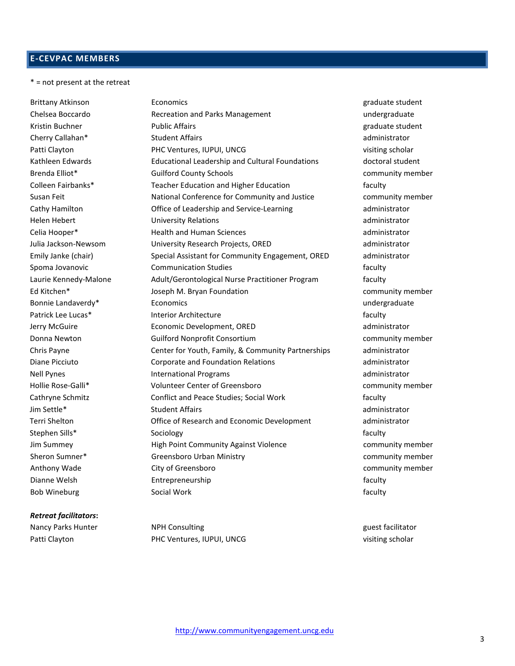# **E-CEVPAC MEMBERS**

\* = not present at the retreat

#### *Retreat facilitators***:**

Brittany Atkinson **Economics** Economics experience and the student graduate student Chelsea Boccardo **Recreation and Parks Management** and Parks Management and Parks Management and Parks Management Kristin Buchner **Example 2018** Public Affairs and the example of the example of the example of the example of the example of the example of the example of the example of the example of the example of the example of the exa Cherry Callahan\* Student Affairs administrator Patti Clayton **PHC Ventures, IUPUI, UNCG** visiting scholar Kathleen Edwards **Educational Leadership and Cultural Foundations** doctoral student Brenda Elliot\* Guilford County Schools community member Colleen Fairbanks\* Teacher Education and Higher Education and Higher Education Susan Feit **National Conference for Community and Justice** community member Cathy Hamilton Office of Leadership and Service-Learning administrator Helen Hebert University Relations administrator Celia Hooper\* Health and Human Sciences administrator Julia Jackson-Newsom University Research Projects, ORED administrator Emily Janke (chair) Special Assistant for Community Engagement, ORED administrator Spoma Jovanovic **Communication Studies Communication Studies Faculty** Laurie Kennedy-Malone Adult/Gerontological Nurse Practitioner Program faculty Ed Kitchen\* The Superson M. Bryan Foundation Community member community member Bonnie Landaverdy\* **Economics** Economics experience that the undergraduate undergraduate Patrick Lee Lucas\* The Interior Architecture and the interior Architecture faculty Jerry McGuire Economic Development, ORED administrator Donna Newton Guilford Nonprofit Consortium community member Chris Payne Center for Youth, Family, & Community Partnerships administrator Diane Picciuto Corporate and Foundation Relations administrator Nell Pynes **International Programs International Programs administrator administrator** Hollie Rose-Galli\* Volunteer Center of Greensboro community member Cathryne Schmitz Conflict and Peace Studies; Social Work faculty Jim Settle\* Student Affairs administrator Terri Shelton Office of Research and Economic Development administrator Stephen Sills\* Sociology faculty Sociology faculty faculty Jim Summey High Point Community Against Violence community member Sheron Sumner\* The Greensboro Urban Ministry Community member community member Anthony Wade City of Greensboro community member Dianne Welsh **Entrepreneurship** Entrepreneurship faculty Bob Wineburg **Social Work Social Work Social Work**  Faculty **faculty** 

Nancy Parks Hunter **NPH Consulting and Consulting and Consulting and Consulting and Consulting and Consulting A** Patti Clayton **PHC Ventures, IUPUI, UNCG** visiting scholar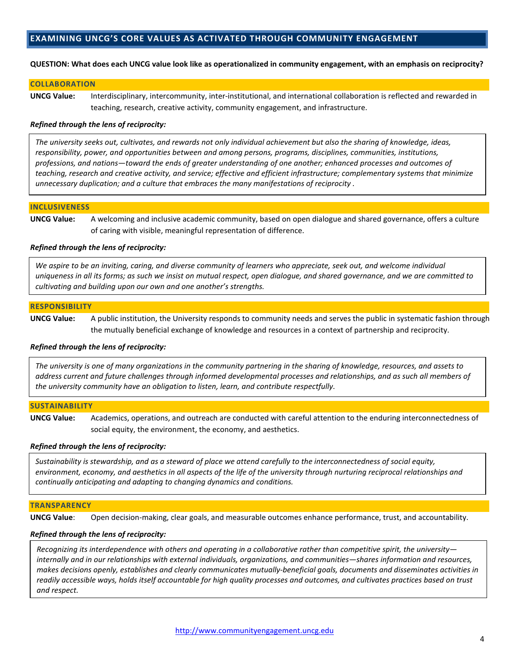# **EXAMINING UNCG'S CORE VALUES AS ACTIVATED THROUGH COMMUNITY ENGAGEMENT**

#### **QUESTION: What does each UNCG value look like as operationalized in community engagement, with an emphasis on reciprocity?**

#### **COLLABORATION**

**UNCG Value:** Interdisciplinary, intercommunity, inter-institutional, and international collaboration is reflected and rewarded in teaching, research, creative activity, community engagement, and infrastructure.

#### *Refined through the lens of reciprocity:*

*The university seeks out, cultivates, and rewards not only individual achievement but also the sharing of knowledge, ideas, responsibility, power, and opportunities between and among persons, programs, disciplines, communities, institutions, professions, and nations—toward the ends of greater understanding of one another; enhanced processes and outcomes of teaching, research and creative activity, and service; effective and efficient infrastructure; complementary systems that minimize unnecessary duplication; and a culture that embraces the many manifestations of reciprocity .*

#### **INCLUSIVENESS**

**UNCG Value:** A welcoming and inclusive academic community, based on open dialogue and shared governance, offers a culture of caring with visible, meaningful representation of difference.

#### *Refined through the lens of reciprocity:*

*We aspire to be an inviting, caring, and diverse community of learners who appreciate, seek out, and welcome individual uniqueness in all its forms; as such we insist on mutual respect, open dialogue, and shared governance, and we are committed to cultivating and building upon our own and one another's strengths.*

#### **RESPONSIBILITY**

**UNCG Value:** A public institution, the University responds to community needs and serves the public in systematic fashion through the mutually beneficial exchange of knowledge and resources in a context of partnership and reciprocity.

#### *Refined through the lens of reciprocity:*

*The university is one of many organizations in the community partnering in the sharing of knowledge, resources, and assets to address current and future challenges through informed developmental processes and relationships, and as such all members of the university community have an obligation to listen, learn, and contribute respectfully*.

#### **SUSTAINABILITY**

**UNCG Value:** Academics, operations, and outreach are conducted with careful attention to the enduring interconnectedness of social equity, the environment, the economy, and aesthetics.

#### *Refined through the lens of reciprocity:*

*Sustainability is stewardship, and as a steward of place we attend carefully to the interconnectedness of social equity, environment, economy, and aesthetics in all aspects of the life of the university through nurturing reciprocal relationships and continually anticipating and adapting to changing dynamics and conditions.*

#### **TRANSPARENCY**

**UNCG Value**: Open decision-making, clear goals, and measurable outcomes enhance performance, trust, and accountability.

#### *Refined through the lens of reciprocity:*

*Recognizing its interdependence with others and operating in a collaborative rather than competitive spirit, the university internally and in our relationships with external individuals, organizations, and communities—shares information and resources, makes decisions openly, establishes and clearly communicates mutually-beneficial goals, documents and disseminates activities in readily accessible ways, holds itself accountable for high quality processes and outcomes, and cultivates practices based on trust and respect.*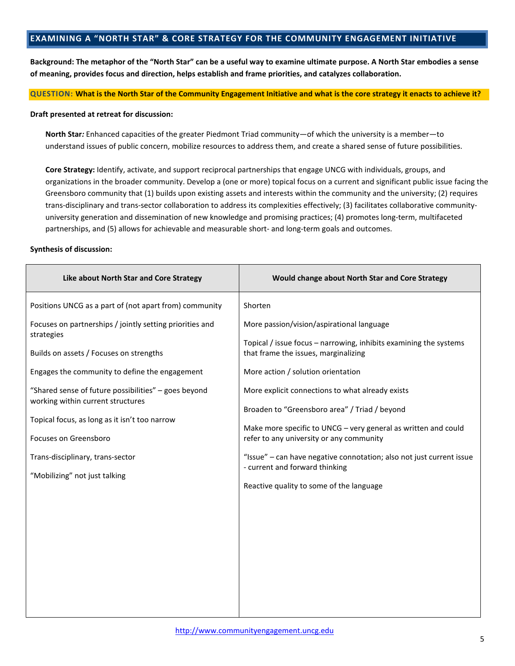# **EXAMINING A "NORTH STAR" & CORE STRATEGY FOR THE COMMUNITY ENGAGEMENT INITIATIVE**

**Background: The metaphor of the "North Star" can be a useful way to examine ultimate purpose. A North Star embodies a sense of meaning, provides focus and direction, helps establish and frame priorities, and catalyzes collaboration.** 

#### **QUESTION: What is the North Star of the Community Engagement Initiative and what is the core strategy it enacts to achieve it?**

#### **Draft presented at retreat for discussion:**

**North Star***:* Enhanced capacities of the greater Piedmont Triad community—of which the university is a member—to understand issues of public concern, mobilize resources to address them, and create a shared sense of future possibilities.

**Core Strategy:** Identify, activate, and support reciprocal partnerships that engage UNCG with individuals, groups, and organizations in the broader community. Develop a (one or more) topical focus on a current and significant public issue facing the Greensboro community that (1) builds upon existing assets and interests within the community and the university; (2) requires trans-disciplinary and trans-sector collaboration to address its complexities effectively; (3) facilitates collaborative communityuniversity generation and dissemination of new knowledge and promising practices; (4) promotes long-term, multifaceted partnerships, and (5) allows for achievable and measurable short- and long-term goals and outcomes.

#### **Synthesis of discussion:**

| Like about North Star and Core Strategy                                                                                                                                                                                                                                                                                                                                                                                                                                   | Would change about North Star and Core Strategy                                                                                                                                                                                                                                                                                                                                                                                                                                                                                                                                  |
|---------------------------------------------------------------------------------------------------------------------------------------------------------------------------------------------------------------------------------------------------------------------------------------------------------------------------------------------------------------------------------------------------------------------------------------------------------------------------|----------------------------------------------------------------------------------------------------------------------------------------------------------------------------------------------------------------------------------------------------------------------------------------------------------------------------------------------------------------------------------------------------------------------------------------------------------------------------------------------------------------------------------------------------------------------------------|
| Positions UNCG as a part of (not apart from) community<br>Focuses on partnerships / jointly setting priorities and<br>strategies<br>Builds on assets / Focuses on strengths<br>Engages the community to define the engagement<br>"Shared sense of future possibilities" - goes beyond<br>working within current structures<br>Topical focus, as long as it isn't too narrow<br>Focuses on Greensboro<br>Trans-disciplinary, trans-sector<br>"Mobilizing" not just talking | Shorten<br>More passion/vision/aspirational language<br>Topical / issue focus - narrowing, inhibits examining the systems<br>that frame the issues, marginalizing<br>More action / solution orientation<br>More explicit connections to what already exists<br>Broaden to "Greensboro area" / Triad / beyond<br>Make more specific to UNCG - very general as written and could<br>refer to any university or any community<br>"Issue" - can have negative connotation; also not just current issue<br>- current and forward thinking<br>Reactive quality to some of the language |
|                                                                                                                                                                                                                                                                                                                                                                                                                                                                           |                                                                                                                                                                                                                                                                                                                                                                                                                                                                                                                                                                                  |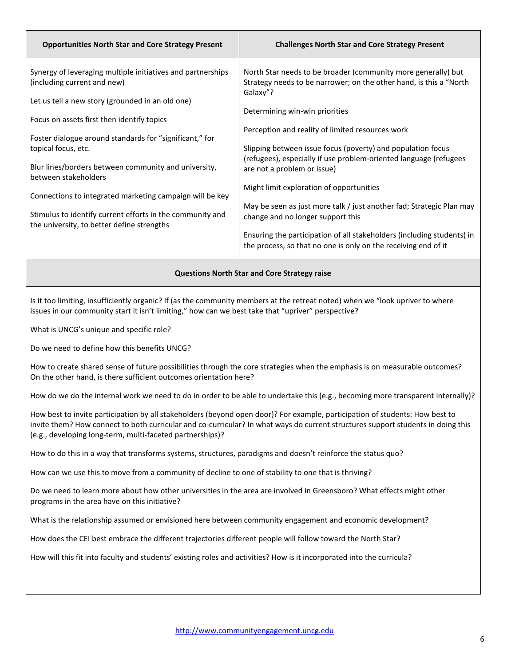| <b>Opportunities North Star and Core Strategy Present</b>                                                                                                                                                                           | <b>Challenges North Star and Core Strategy Present</b>                                                                                          |  |  |
|-------------------------------------------------------------------------------------------------------------------------------------------------------------------------------------------------------------------------------------|-------------------------------------------------------------------------------------------------------------------------------------------------|--|--|
| Synergy of leveraging multiple initiatives and partnerships<br>(including current and new)<br>Let us tell a new story (grounded in an old one)                                                                                      | North Star needs to be broader (community more generally) but<br>Strategy needs to be narrower; on the other hand, is this a "North<br>Galaxy"? |  |  |
| Focus on assets first then identify topics                                                                                                                                                                                          | Determining win-win priorities                                                                                                                  |  |  |
| Foster dialogue around standards for "significant," for                                                                                                                                                                             | Perception and reality of limited resources work                                                                                                |  |  |
| topical focus, etc.                                                                                                                                                                                                                 | Slipping between issue focus (poverty) and population focus<br>(refugees), especially if use problem-oriented language (refugees                |  |  |
| Blur lines/borders between community and university,<br>between stakeholders                                                                                                                                                        | are not a problem or issue)                                                                                                                     |  |  |
| Connections to integrated marketing campaign will be key                                                                                                                                                                            | Might limit exploration of opportunities                                                                                                        |  |  |
| Stimulus to identify current efforts in the community and<br>the university, to better define strengths                                                                                                                             | May be seen as just more talk / just another fad; Strategic Plan may<br>change and no longer support this                                       |  |  |
|                                                                                                                                                                                                                                     | Ensuring the participation of all stakeholders (including students) in<br>the process, so that no one is only on the receiving end of it        |  |  |
| <b>Questions North Star and Core Strategy raise</b>                                                                                                                                                                                 |                                                                                                                                                 |  |  |
| Is it too limiting, insufficiently organic? If (as the community members at the retreat noted) when we "look upriver to where<br>issues in our community start it isn't limiting," how can we best take that "upriver" perspective? |                                                                                                                                                 |  |  |

What is UNCG's unique and specific role?

Do we need to define how this benefits UNCG?

How to create shared sense of future possibilities through the core strategies when the emphasis is on measurable outcomes? On the other hand, is there sufficient outcomes orientation here?

How do we do the internal work we need to do in order to be able to undertake this (e.g., becoming more transparent internally)?

How best to invite participation by all stakeholders (beyond open door)? For example, participation of students: How best to invite them? How connect to both curricular and co-curricular? In what ways do current structures support students in doing this (e.g., developing long-term, multi-faceted partnerships)?

How to do this in a way that transforms systems, structures, paradigms and doesn't reinforce the status quo?

How can we use this to move from a community of decline to one of stability to one that is thriving?

Do we need to learn more about how other universities in the area are involved in Greensboro? What effects might other programs in the area have on this initiative?

What is the relationship assumed or envisioned here between community engagement and economic development?

How does the CEI best embrace the different trajectories different people will follow toward the North Star?

How will this fit into faculty and students' existing roles and activities? How is it incorporated into the curricula?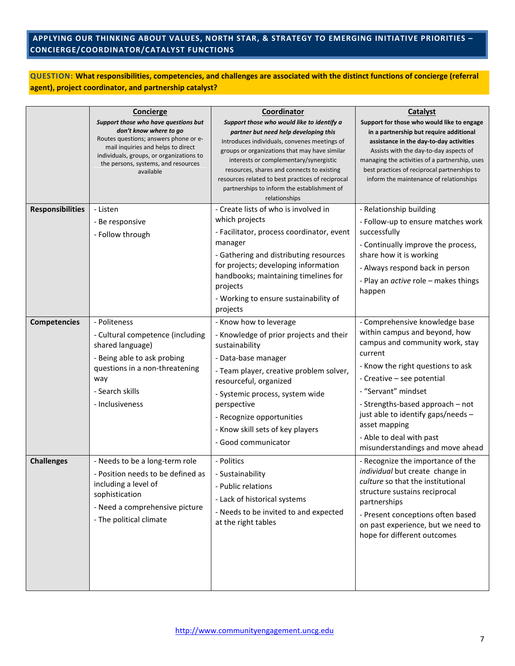# **APPLYING OUR THINKING ABOUT VALUES, NORTH STAR, & STRATEGY TO EMERGING INITIATIVE PRIORITIES – CONCIERGE/COORDINATOR/CATALYST FUNCTIONS**

**QUESTION: What responsibilities, competencies, and challenges are associated with the distinct functions of concierge (referral agent), project coordinator, and partnership catalyst?**

|                         | Concierge                                                                                                                                                                                                                                     | Coordinator                                                                                                                                                                                                                                                                                                                                                                                       | Catalyst                                                                                                                                                                                                                                                                                                                                                           |
|-------------------------|-----------------------------------------------------------------------------------------------------------------------------------------------------------------------------------------------------------------------------------------------|---------------------------------------------------------------------------------------------------------------------------------------------------------------------------------------------------------------------------------------------------------------------------------------------------------------------------------------------------------------------------------------------------|--------------------------------------------------------------------------------------------------------------------------------------------------------------------------------------------------------------------------------------------------------------------------------------------------------------------------------------------------------------------|
|                         | Support those who have questions but<br>don't know where to go<br>Routes questions; answers phone or e-<br>mail inquiries and helps to direct<br>individuals, groups, or organizations to<br>the persons, systems, and resources<br>available | Support those who would like to identify a<br>partner but need help developing this<br>Introduces individuals, convenes meetings of<br>groups or organizations that may have similar<br>interests or complementary/synergistic<br>resources, shares and connects to existing<br>resources related to best practices of reciprocal<br>partnerships to inform the establishment of<br>relationships | Support for those who would like to engage<br>in a partnership but require additional<br>assistance in the day-to-day activities<br>Assists with the day-to-day aspects of<br>managing the activities of a partnership, uses<br>best practices of reciprocal partnerships to<br>inform the maintenance of relationships                                            |
| <b>Responsibilities</b> | - Listen<br>- Be responsive<br>- Follow through                                                                                                                                                                                               | - Create lists of who is involved in<br>which projects<br>- Facilitator, process coordinator, event<br>manager<br>- Gathering and distributing resources<br>for projects; developing information<br>handbooks; maintaining timelines for<br>projects<br>- Working to ensure sustainability of<br>projects                                                                                         | - Relationship building<br>- Follow-up to ensure matches work<br>successfully<br>- Continually improve the process,<br>share how it is working<br>- Always respond back in person<br>- Play an <i>active</i> role - makes things<br>happen                                                                                                                         |
| <b>Competencies</b>     | - Politeness<br>- Cultural competence (including<br>shared language)<br>- Being able to ask probing<br>questions in a non-threatening<br>way<br>- Search skills<br>- Inclusiveness                                                            | - Know how to leverage<br>- Knowledge of prior projects and their<br>sustainability<br>- Data-base manager<br>- Team player, creative problem solver,<br>resourceful, organized<br>- Systemic process, system wide<br>perspective<br>- Recognize opportunities<br>- Know skill sets of key players<br>- Good communicator                                                                         | - Comprehensive knowledge base<br>within campus and beyond, how<br>campus and community work, stay<br>current<br>- Know the right questions to ask<br>- Creative - see potential<br>- "Servant" mindset<br>- Strengths-based approach - not<br>just able to identify gaps/needs -<br>asset mapping<br>- Able to deal with past<br>misunderstandings and move ahead |
| <b>Challenges</b>       | - Needs to be a long-term role<br>- Position needs to be defined as<br>including a level of<br>sophistication<br>- Need a comprehensive picture<br>- The political climate                                                                    | - Politics<br>- Sustainability<br>- Public relations<br>- Lack of historical systems<br>- Needs to be invited to and expected<br>at the right tables                                                                                                                                                                                                                                              | - Recognize the importance of the<br>individual but create change in<br>culture so that the institutional<br>structure sustains reciprocal<br>partnerships<br>- Present conceptions often based<br>on past experience, but we need to<br>hope for different outcomes                                                                                               |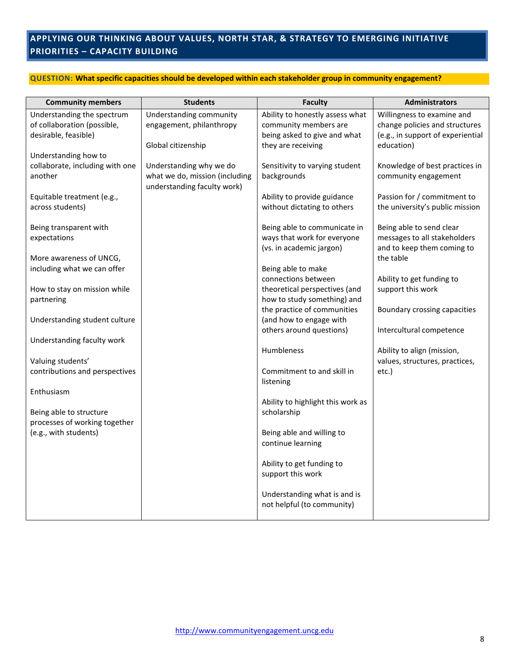# **APPLYING OUR THINKING ABOUT VALUES, NORTH STAR, & STRATEGY TO EMERGING INITIATIVE PRIORITIES – CAPACITY BUILDING**

#### **QUESTION: What specific capacities should be developed within each stakeholder group in community engagement?**

| <b>Community members</b>                                                          | <b>Students</b>                                                                          | <b>Faculty</b>                                                                                                 | <b>Administrators</b>                                                                                           |
|-----------------------------------------------------------------------------------|------------------------------------------------------------------------------------------|----------------------------------------------------------------------------------------------------------------|-----------------------------------------------------------------------------------------------------------------|
| Understanding the spectrum<br>of collaboration (possible,<br>desirable, feasible) | Understanding community<br>engagement, philanthropy<br>Global citizenship                | Ability to honestly assess what<br>community members are<br>being asked to give and what<br>they are receiving | Willingness to examine and<br>change policies and structures<br>(e.g., in support of experiential<br>education) |
| Understanding how to<br>collaborate, including with one<br>another                | Understanding why we do<br>what we do, mission (including<br>understanding faculty work) | Sensitivity to varying student<br>backgrounds                                                                  | Knowledge of best practices in<br>community engagement                                                          |
| Equitable treatment (e.g.,<br>across students)                                    |                                                                                          | Ability to provide guidance<br>without dictating to others                                                     | Passion for / commitment to<br>the university's public mission                                                  |
| Being transparent with<br>expectations                                            |                                                                                          | Being able to communicate in<br>ways that work for everyone<br>(vs. in academic jargon)                        | Being able to send clear<br>messages to all stakeholders<br>and to keep them coming to                          |
| More awareness of UNCG,<br>including what we can offer                            |                                                                                          | Being able to make<br>connections between                                                                      | the table<br>Ability to get funding to                                                                          |
| How to stay on mission while<br>partnering                                        |                                                                                          | theoretical perspectives (and<br>how to study something) and<br>the practice of communities                    | support this work<br>Boundary crossing capacities                                                               |
| Understanding student culture                                                     |                                                                                          | (and how to engage with<br>others around questions)                                                            | Intercultural competence                                                                                        |
| Understanding faculty work                                                        |                                                                                          | Humbleness                                                                                                     | Ability to align (mission,                                                                                      |
| Valuing students'<br>contributions and perspectives                               |                                                                                          | Commitment to and skill in<br>listening                                                                        | values, structures, practices,<br>etc.)                                                                         |
| Enthusiasm                                                                        |                                                                                          | Ability to highlight this work as                                                                              |                                                                                                                 |
| Being able to structure<br>processes of working together<br>(e.g., with students) |                                                                                          | scholarship<br>Being able and willing to                                                                       |                                                                                                                 |
|                                                                                   |                                                                                          | continue learning<br>Ability to get funding to                                                                 |                                                                                                                 |
|                                                                                   |                                                                                          | support this work                                                                                              |                                                                                                                 |
|                                                                                   |                                                                                          | Understanding what is and is<br>not helpful (to community)                                                     |                                                                                                                 |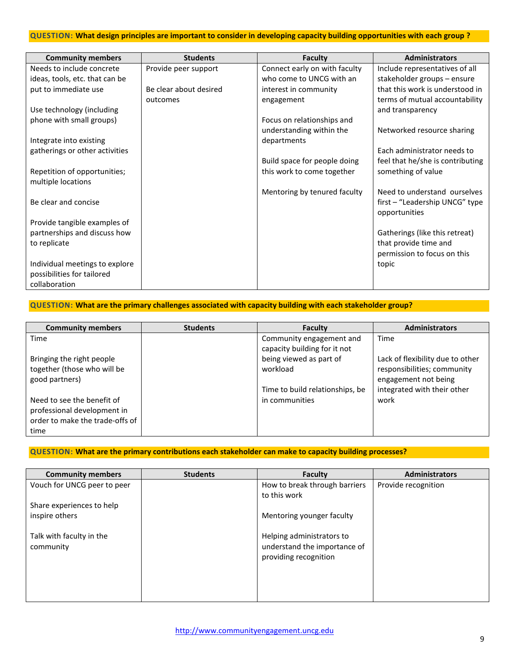#### **QUESTION: What design principles are important to consider in developing capacity building opportunities with each group ?**

| <b>Community members</b>       | <b>Students</b>        | <b>Faculty</b>                | <b>Administrators</b>            |
|--------------------------------|------------------------|-------------------------------|----------------------------------|
| Needs to include concrete      | Provide peer support   | Connect early on with faculty | Include representatives of all   |
| ideas, tools, etc. that can be |                        | who come to UNCG with an      | stakeholder groups - ensure      |
| put to immediate use           | Be clear about desired | interest in community         | that this work is understood in  |
|                                | outcomes               | engagement                    | terms of mutual accountability   |
| Use technology (including      |                        |                               | and transparency                 |
| phone with small groups)       |                        | Focus on relationships and    |                                  |
|                                |                        | understanding within the      | Networked resource sharing       |
| Integrate into existing        |                        | departments                   |                                  |
| gatherings or other activities |                        |                               | Each administrator needs to      |
|                                |                        | Build space for people doing  | feel that he/she is contributing |
| Repetition of opportunities;   |                        | this work to come together    | something of value               |
| multiple locations             |                        |                               |                                  |
|                                |                        | Mentoring by tenured faculty  | Need to understand ourselves     |
| Be clear and concise           |                        |                               | first – "Leadership UNCG" type   |
|                                |                        |                               | opportunities                    |
| Provide tangible examples of   |                        |                               |                                  |
| partnerships and discuss how   |                        |                               | Gatherings (like this retreat)   |
| to replicate                   |                        |                               | that provide time and            |
|                                |                        |                               | permission to focus on this      |
| Individual meetings to explore |                        |                               | topic                            |
| possibilities for tailored     |                        |                               |                                  |
| collaboration                  |                        |                               |                                  |

# **QUESTION: What are the primary challenges associated with capacity building with each stakeholder group?**

| <b>Community members</b>        | <b>Students</b> | Faculty                         | <b>Administrators</b>            |
|---------------------------------|-----------------|---------------------------------|----------------------------------|
| Time                            |                 | Community engagement and        | Time                             |
|                                 |                 | capacity building for it not    |                                  |
| Bringing the right people       |                 | being viewed as part of         | Lack of flexibility due to other |
| together (those who will be     |                 | workload                        | responsibilities; community      |
| good partners)                  |                 |                                 | engagement not being             |
|                                 |                 | Time to build relationships, be | integrated with their other      |
| Need to see the benefit of      |                 | in communities                  | work                             |
| professional development in     |                 |                                 |                                  |
| order to make the trade-offs of |                 |                                 |                                  |
| time                            |                 |                                 |                                  |

## **QUESTION: What are the primary contributions each stakeholder can make to capacity building processes?**

| <b>Community members</b>    | <b>Students</b> | Faculty                                               | <b>Administrators</b> |
|-----------------------------|-----------------|-------------------------------------------------------|-----------------------|
| Vouch for UNCG peer to peer |                 | How to break through barriers                         | Provide recognition   |
|                             |                 | to this work                                          |                       |
| Share experiences to help   |                 |                                                       |                       |
| inspire others              |                 | Mentoring younger faculty                             |                       |
|                             |                 |                                                       |                       |
| Talk with faculty in the    |                 | Helping administrators to                             |                       |
| community                   |                 | understand the importance of<br>providing recognition |                       |
|                             |                 |                                                       |                       |
|                             |                 |                                                       |                       |
|                             |                 |                                                       |                       |
|                             |                 |                                                       |                       |